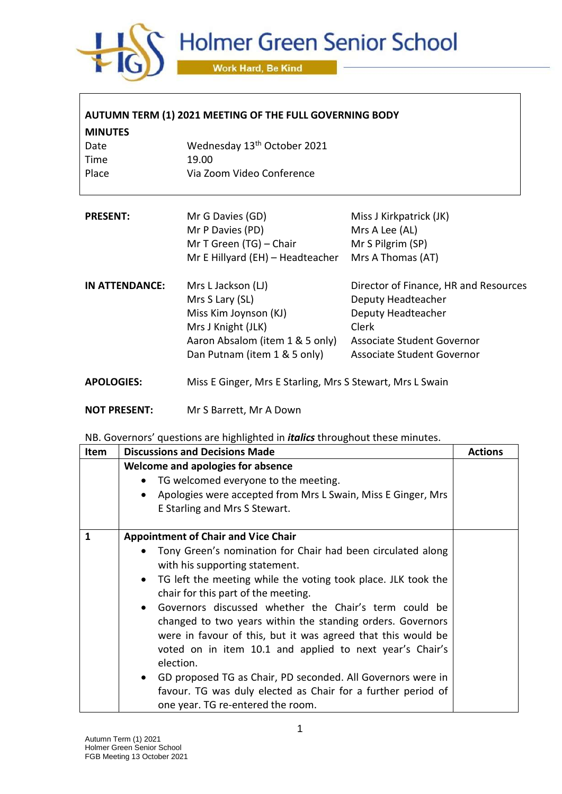

| AUTUMN TERM (1) 2021 MEETING OF THE FULL GOVERNING BODY |                                                                                      |                                                                                            |  |
|---------------------------------------------------------|--------------------------------------------------------------------------------------|--------------------------------------------------------------------------------------------|--|
| <b>MINUTES</b>                                          |                                                                                      |                                                                                            |  |
| Wednesday 13 <sup>th</sup> October 2021<br>Date         |                                                                                      |                                                                                            |  |
| Time                                                    | 19.00                                                                                |                                                                                            |  |
| Place                                                   | Via Zoom Video Conference                                                            |                                                                                            |  |
| <b>PRESENT:</b>                                         | Mr G Davies (GD)                                                                     | Miss J Kirkpatrick (JK)                                                                    |  |
|                                                         | Mr P Davies (PD)                                                                     | Mrs A Lee (AL)                                                                             |  |
|                                                         | Mr T Green (TG) - Chair                                                              | Mr S Pilgrim (SP)                                                                          |  |
|                                                         | Mr E Hillyard (EH) - Headteacher                                                     | Mrs A Thomas (AT)                                                                          |  |
| IN ATTENDANCE:                                          | Mrs L Jackson (LJ)<br>Mrs S Lary (SL)<br>Miss Kim Joynson (KJ)<br>Mrs J Knight (JLK) | Director of Finance, HR and Resources<br>Deputy Headteacher<br>Deputy Headteacher<br>Clerk |  |
|                                                         | Aaron Absalom (item 1 & 5 only)<br>Dan Putnam (item 1 & 5 only)                      | Associate Student Governor<br>Associate Student Governor                                   |  |
| <b>APOLOGIES:</b>                                       | Miss E Ginger, Mrs E Starling, Mrs S Stewart, Mrs L Swain                            |                                                                                            |  |
| <b>NOT PRESENT:</b>                                     | Mr S Barrett, Mr A Down                                                              |                                                                                            |  |

NB. Governors' questions are highlighted in *italics* throughout these minutes.

| Item         | <b>Discussions and Decisions Made</b>                                                                                                                                                                                                                                                                                                                                                                                                                                                                                                                                                                                                                                                                                          | <b>Actions</b> |
|--------------|--------------------------------------------------------------------------------------------------------------------------------------------------------------------------------------------------------------------------------------------------------------------------------------------------------------------------------------------------------------------------------------------------------------------------------------------------------------------------------------------------------------------------------------------------------------------------------------------------------------------------------------------------------------------------------------------------------------------------------|----------------|
|              | Welcome and apologies for absence<br>TG welcomed everyone to the meeting.<br>Apologies were accepted from Mrs L Swain, Miss E Ginger, Mrs<br>$\bullet$<br>E Starling and Mrs S Stewart.                                                                                                                                                                                                                                                                                                                                                                                                                                                                                                                                        |                |
| $\mathbf{1}$ | <b>Appointment of Chair and Vice Chair</b><br>Tony Green's nomination for Chair had been circulated along<br>with his supporting statement.<br>TG left the meeting while the voting took place. JLK took the<br>$\bullet$<br>chair for this part of the meeting.<br>Governors discussed whether the Chair's term could be<br>$\bullet$<br>changed to two years within the standing orders. Governors<br>were in favour of this, but it was agreed that this would be<br>voted on in item 10.1 and applied to next year's Chair's<br>election.<br>GD proposed TG as Chair, PD seconded. All Governors were in<br>$\bullet$<br>favour. TG was duly elected as Chair for a further period of<br>one year. TG re-entered the room. |                |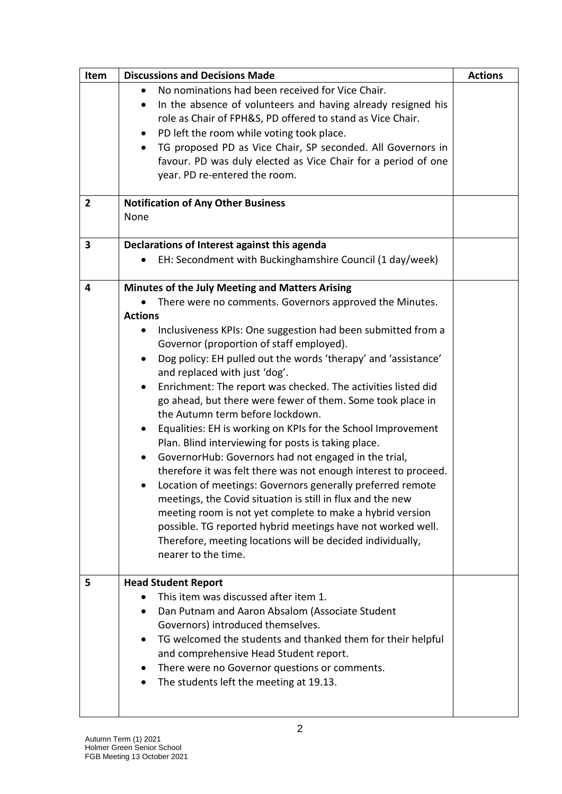| Item           | <b>Discussions and Decisions Made</b>                                                                                                    | <b>Actions</b> |
|----------------|------------------------------------------------------------------------------------------------------------------------------------------|----------------|
|                | No nominations had been received for Vice Chair.                                                                                         |                |
|                | In the absence of volunteers and having already resigned his<br>$\bullet$<br>role as Chair of FPH&S, PD offered to stand as Vice Chair.  |                |
|                | PD left the room while voting took place.<br>$\bullet$                                                                                   |                |
|                | TG proposed PD as Vice Chair, SP seconded. All Governors in<br>$\bullet$                                                                 |                |
|                | favour. PD was duly elected as Vice Chair for a period of one                                                                            |                |
|                | year. PD re-entered the room.                                                                                                            |                |
|                |                                                                                                                                          |                |
| $\overline{2}$ | <b>Notification of Any Other Business</b>                                                                                                |                |
|                | None                                                                                                                                     |                |
| 3              | Declarations of Interest against this agenda                                                                                             |                |
|                | EH: Secondment with Buckinghamshire Council (1 day/week)                                                                                 |                |
| 4              | Minutes of the July Meeting and Matters Arising                                                                                          |                |
|                | There were no comments. Governors approved the Minutes.                                                                                  |                |
|                | <b>Actions</b>                                                                                                                           |                |
|                | Inclusiveness KPIs: One suggestion had been submitted from a                                                                             |                |
|                | Governor (proportion of staff employed).                                                                                                 |                |
|                | Dog policy: EH pulled out the words 'therapy' and 'assistance'<br>$\bullet$                                                              |                |
|                | and replaced with just 'dog'.                                                                                                            |                |
|                | Enrichment: The report was checked. The activities listed did<br>$\bullet$<br>go ahead, but there were fewer of them. Some took place in |                |
|                | the Autumn term before lockdown.                                                                                                         |                |
|                | Equalities: EH is working on KPIs for the School Improvement<br>٠                                                                        |                |
|                | Plan. Blind interviewing for posts is taking place.                                                                                      |                |
|                | GovernorHub: Governors had not engaged in the trial,                                                                                     |                |
|                | therefore it was felt there was not enough interest to proceed.                                                                          |                |
|                | Location of meetings: Governors generally preferred remote                                                                               |                |
|                | meetings, the Covid situation is still in flux and the new                                                                               |                |
|                | meeting room is not yet complete to make a hybrid version                                                                                |                |
|                | possible. TG reported hybrid meetings have not worked well.                                                                              |                |
|                | Therefore, meeting locations will be decided individually,                                                                               |                |
|                | nearer to the time.                                                                                                                      |                |
| 5              | <b>Head Student Report</b>                                                                                                               |                |
|                | This item was discussed after item 1.                                                                                                    |                |
|                | Dan Putnam and Aaron Absalom (Associate Student                                                                                          |                |
|                | Governors) introduced themselves.                                                                                                        |                |
|                | TG welcomed the students and thanked them for their helpful                                                                              |                |
|                | and comprehensive Head Student report.                                                                                                   |                |
|                | There were no Governor questions or comments.                                                                                            |                |
|                | The students left the meeting at 19.13.                                                                                                  |                |
|                |                                                                                                                                          |                |
|                |                                                                                                                                          |                |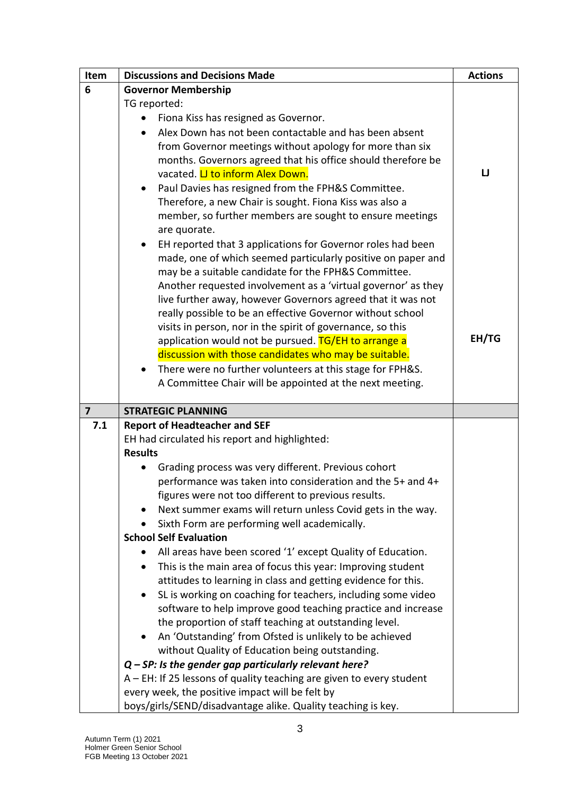| Item                    | <b>Discussions and Decisions Made</b>                                  | <b>Actions</b> |
|-------------------------|------------------------------------------------------------------------|----------------|
| 6                       | <b>Governor Membership</b>                                             |                |
|                         | TG reported:                                                           |                |
|                         | Fiona Kiss has resigned as Governor.                                   |                |
|                         | Alex Down has not been contactable and has been absent                 |                |
|                         | from Governor meetings without apology for more than six               |                |
|                         | months. Governors agreed that his office should therefore be           |                |
|                         | vacated. <i>LI to inform Alex Down</i> .                               | IJ             |
|                         | Paul Davies has resigned from the FPH&S Committee.                     |                |
|                         | Therefore, a new Chair is sought. Fiona Kiss was also a                |                |
|                         | member, so further members are sought to ensure meetings               |                |
|                         | are quorate.                                                           |                |
|                         | EH reported that 3 applications for Governor roles had been            |                |
|                         | made, one of which seemed particularly positive on paper and           |                |
|                         | may be a suitable candidate for the FPH&S Committee.                   |                |
|                         | Another requested involvement as a 'virtual governor' as they          |                |
|                         | live further away, however Governors agreed that it was not            |                |
|                         | really possible to be an effective Governor without school             |                |
|                         | visits in person, nor in the spirit of governance, so this             | EH/TG          |
|                         | application would not be pursued. TG/EH to arrange a                   |                |
|                         | discussion with those candidates who may be suitable.                  |                |
|                         | There were no further volunteers at this stage for FPH&S.              |                |
|                         | A Committee Chair will be appointed at the next meeting.               |                |
| $\overline{\mathbf{z}}$ | <b>STRATEGIC PLANNING</b>                                              |                |
| 7.1                     | <b>Report of Headteacher and SEF</b>                                   |                |
|                         | EH had circulated his report and highlighted:                          |                |
|                         | <b>Results</b>                                                         |                |
|                         | Grading process was very different. Previous cohort                    |                |
|                         | performance was taken into consideration and the 5+ and 4+             |                |
|                         | figures were not too different to previous results.                    |                |
|                         | Next summer exams will return unless Covid gets in the way.            |                |
|                         | Sixth Form are performing well academically.                           |                |
|                         | <b>School Self Evaluation</b>                                          |                |
|                         | All areas have been scored '1' except Quality of Education.            |                |
|                         | This is the main area of focus this year: Improving student            |                |
|                         | attitudes to learning in class and getting evidence for this.          |                |
|                         | SL is working on coaching for teachers, including some video           |                |
|                         | software to help improve good teaching practice and increase           |                |
|                         | the proportion of staff teaching at outstanding level.                 |                |
|                         | An 'Outstanding' from Ofsted is unlikely to be achieved                |                |
|                         | without Quality of Education being outstanding.                        |                |
|                         | $Q$ – SP: Is the gender gap particularly relevant here?                |                |
|                         | $A$ – EH: If 25 lessons of quality teaching are given to every student |                |
|                         | every week, the positive impact will be felt by                        |                |
|                         | boys/girls/SEND/disadvantage alike. Quality teaching is key.           |                |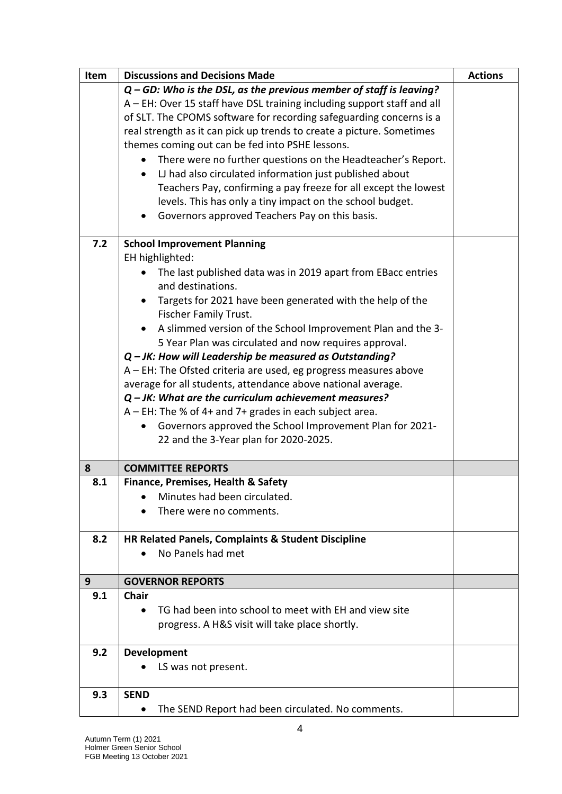| Item           | <b>Discussions and Decisions Made</b>                                                                                            | <b>Actions</b> |
|----------------|----------------------------------------------------------------------------------------------------------------------------------|----------------|
|                | Q - GD: Who is the DSL, as the previous member of staff is leaving?                                                              |                |
|                | A - EH: Over 15 staff have DSL training including support staff and all                                                          |                |
|                | of SLT. The CPOMS software for recording safeguarding concerns is a                                                              |                |
|                | real strength as it can pick up trends to create a picture. Sometimes                                                            |                |
|                | themes coming out can be fed into PSHE lessons.                                                                                  |                |
|                | There were no further questions on the Headteacher's Report.<br>$\bullet$                                                        |                |
|                | LJ had also circulated information just published about                                                                          |                |
|                | Teachers Pay, confirming a pay freeze for all except the lowest                                                                  |                |
|                | levels. This has only a tiny impact on the school budget.                                                                        |                |
|                | Governors approved Teachers Pay on this basis.                                                                                   |                |
|                |                                                                                                                                  |                |
| 7.2            | <b>School Improvement Planning</b>                                                                                               |                |
|                | EH highlighted:                                                                                                                  |                |
|                | The last published data was in 2019 apart from EBacc entries                                                                     |                |
|                | and destinations.                                                                                                                |                |
|                | Targets for 2021 have been generated with the help of the                                                                        |                |
|                | Fischer Family Trust.                                                                                                            |                |
|                | A slimmed version of the School Improvement Plan and the 3-                                                                      |                |
|                | 5 Year Plan was circulated and now requires approval.                                                                            |                |
|                | $Q$ – JK: How will Leadership be measured as Outstanding?                                                                        |                |
|                | A - EH: The Ofsted criteria are used, eg progress measures above<br>average for all students, attendance above national average. |                |
|                |                                                                                                                                  |                |
|                | $Q$ – JK: What are the curriculum achievement measures?                                                                          |                |
|                | A - EH: The % of 4+ and 7+ grades in each subject area.                                                                          |                |
|                | Governors approved the School Improvement Plan for 2021-                                                                         |                |
|                | 22 and the 3-Year plan for 2020-2025.                                                                                            |                |
| 8              | <b>COMMITTEE REPORTS</b>                                                                                                         |                |
| 8.1            | Finance, Premises, Health & Safety                                                                                               |                |
|                | Minutes had been circulated.                                                                                                     |                |
|                | There were no comments.                                                                                                          |                |
|                |                                                                                                                                  |                |
| 8.2            | HR Related Panels, Complaints & Student Discipline                                                                               |                |
|                | No Panels had met                                                                                                                |                |
|                |                                                                                                                                  |                |
| 9 <sup>°</sup> | <b>GOVERNOR REPORTS</b>                                                                                                          |                |
| 9.1            | <b>Chair</b>                                                                                                                     |                |
|                | TG had been into school to meet with EH and view site                                                                            |                |
|                | progress. A H&S visit will take place shortly.                                                                                   |                |
| 9.2            | Development                                                                                                                      |                |
|                | LS was not present.                                                                                                              |                |
|                |                                                                                                                                  |                |
| 9.3            | <b>SEND</b>                                                                                                                      |                |
|                | The SEND Report had been circulated. No comments.<br>٠                                                                           |                |
|                |                                                                                                                                  |                |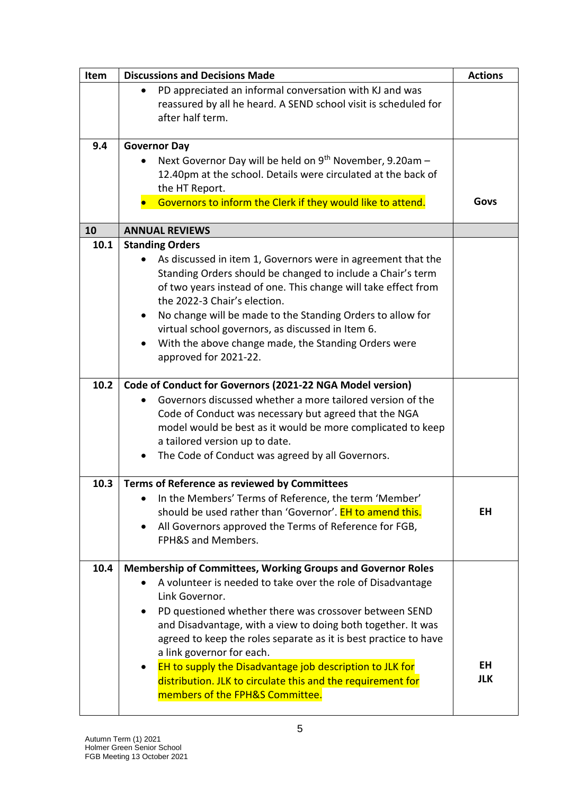| Item | <b>Discussions and Decisions Made</b>                                | <b>Actions</b> |
|------|----------------------------------------------------------------------|----------------|
|      | PD appreciated an informal conversation with KJ and was              |                |
|      | reassured by all he heard. A SEND school visit is scheduled for      |                |
|      | after half term.                                                     |                |
|      |                                                                      |                |
| 9.4  | <b>Governor Day</b>                                                  |                |
|      | Next Governor Day will be held on 9 <sup>th</sup> November, 9.20am - |                |
|      | 12.40pm at the school. Details were circulated at the back of        |                |
|      | the HT Report.                                                       |                |
|      | Governors to inform the Clerk if they would like to attend.          | Govs           |
|      |                                                                      |                |
| 10   | <b>ANNUAL REVIEWS</b>                                                |                |
| 10.1 | <b>Standing Orders</b>                                               |                |
|      | As discussed in item 1, Governors were in agreement that the         |                |
|      | Standing Orders should be changed to include a Chair's term          |                |
|      | of two years instead of one. This change will take effect from       |                |
|      | the 2022-3 Chair's election.                                         |                |
|      | No change will be made to the Standing Orders to allow for           |                |
|      | virtual school governors, as discussed in Item 6.                    |                |
|      | With the above change made, the Standing Orders were                 |                |
|      | approved for 2021-22.                                                |                |
|      |                                                                      |                |
| 10.2 | Code of Conduct for Governors (2021-22 NGA Model version)            |                |
|      | Governors discussed whether a more tailored version of the           |                |
|      | Code of Conduct was necessary but agreed that the NGA                |                |
|      | model would be best as it would be more complicated to keep          |                |
|      | a tailored version up to date.                                       |                |
|      | The Code of Conduct was agreed by all Governors.                     |                |
|      |                                                                      |                |
| 10.3 | Terms of Reference as reviewed by Committees                         |                |
|      | In the Members' Terms of Reference, the term 'Member'                |                |
|      | should be used rather than 'Governor'. <b>EH to amend this.</b>      | EH             |
|      | All Governors approved the Terms of Reference for FGB,               |                |
|      | FPH&S and Members.                                                   |                |
|      |                                                                      |                |
| 10.4 | <b>Membership of Committees, Working Groups and Governor Roles</b>   |                |
|      | A volunteer is needed to take over the role of Disadvantage          |                |
|      | Link Governor.                                                       |                |
|      | PD questioned whether there was crossover between SEND               |                |
|      | and Disadvantage, with a view to doing both together. It was         |                |
|      | agreed to keep the roles separate as it is best practice to have     |                |
|      | a link governor for each.                                            |                |
|      | EH to supply the Disadvantage job description to JLK for             | EH             |
|      | distribution. JLK to circulate this and the requirement for          | <b>JLK</b>     |
|      | members of the FPH&S Committee.                                      |                |
|      |                                                                      |                |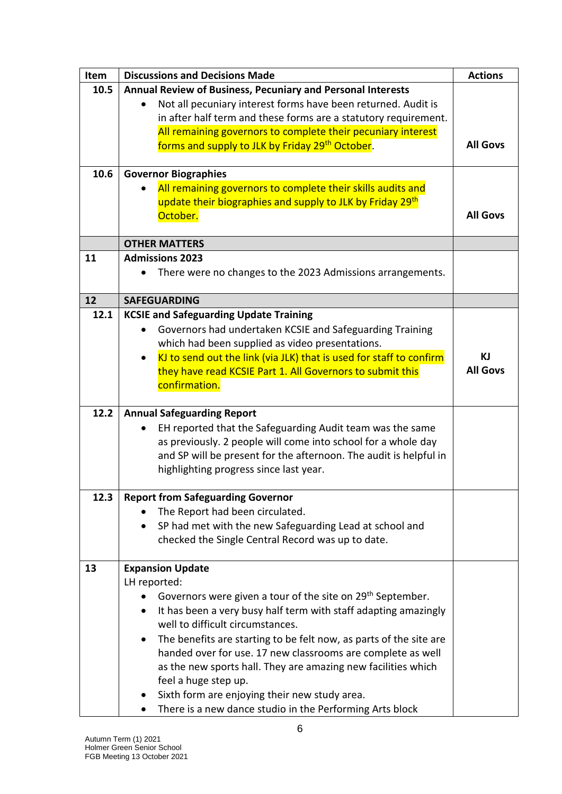| <b>Item</b> | <b>Discussions and Decisions Made</b>                                            | <b>Actions</b>  |
|-------------|----------------------------------------------------------------------------------|-----------------|
| 10.5        | Annual Review of Business, Pecuniary and Personal Interests                      |                 |
|             | Not all pecuniary interest forms have been returned. Audit is                    |                 |
|             | in after half term and these forms are a statutory requirement.                  |                 |
|             | All remaining governors to complete their pecuniary interest                     |                 |
|             | forms and supply to JLK by Friday 29th October.                                  | <b>All Govs</b> |
|             |                                                                                  |                 |
| 10.6        | <b>Governor Biographies</b>                                                      |                 |
|             | All remaining governors to complete their skills audits and                      |                 |
|             | update their biographies and supply to JLK by Friday 29th                        |                 |
|             | October.                                                                         | <b>All Govs</b> |
|             |                                                                                  |                 |
|             | <b>OTHER MATTERS</b>                                                             |                 |
| 11          | <b>Admissions 2023</b>                                                           |                 |
|             | There were no changes to the 2023 Admissions arrangements.                       |                 |
| 12          | <b>SAFEGUARDING</b>                                                              |                 |
| 12.1        | <b>KCSIE and Safeguarding Update Training</b>                                    |                 |
|             | Governors had undertaken KCSIE and Safeguarding Training                         |                 |
|             | which had been supplied as video presentations.                                  |                 |
|             | KJ to send out the link (via JLK) that is used for staff to confirm<br>$\bullet$ | ΚJ              |
|             | they have read KCSIE Part 1. All Governors to submit this                        | <b>All Govs</b> |
|             | confirmation.                                                                    |                 |
|             |                                                                                  |                 |
| 12.2        | <b>Annual Safeguarding Report</b>                                                |                 |
|             | EH reported that the Safeguarding Audit team was the same                        |                 |
|             | as previously. 2 people will come into school for a whole day                    |                 |
|             | and SP will be present for the afternoon. The audit is helpful in                |                 |
|             | highlighting progress since last year.                                           |                 |
|             |                                                                                  |                 |
| 12.3        | <b>Report from Safeguarding Governor</b>                                         |                 |
|             | The Report had been circulated.                                                  |                 |
|             | SP had met with the new Safeguarding Lead at school and<br>$\bullet$             |                 |
|             | checked the Single Central Record was up to date.                                |                 |
| 13          |                                                                                  |                 |
|             | <b>Expansion Update</b><br>LH reported:                                          |                 |
|             | Governors were given a tour of the site on 29 <sup>th</sup> September.           |                 |
|             | It has been a very busy half term with staff adapting amazingly<br>$\bullet$     |                 |
|             | well to difficult circumstances.                                                 |                 |
|             | The benefits are starting to be felt now, as parts of the site are               |                 |
|             | handed over for use. 17 new classrooms are complete as well                      |                 |
|             | as the new sports hall. They are amazing new facilities which                    |                 |
|             | feel a huge step up.                                                             |                 |
|             | Sixth form are enjoying their new study area.                                    |                 |
|             | There is a new dance studio in the Performing Arts block                         |                 |
|             |                                                                                  |                 |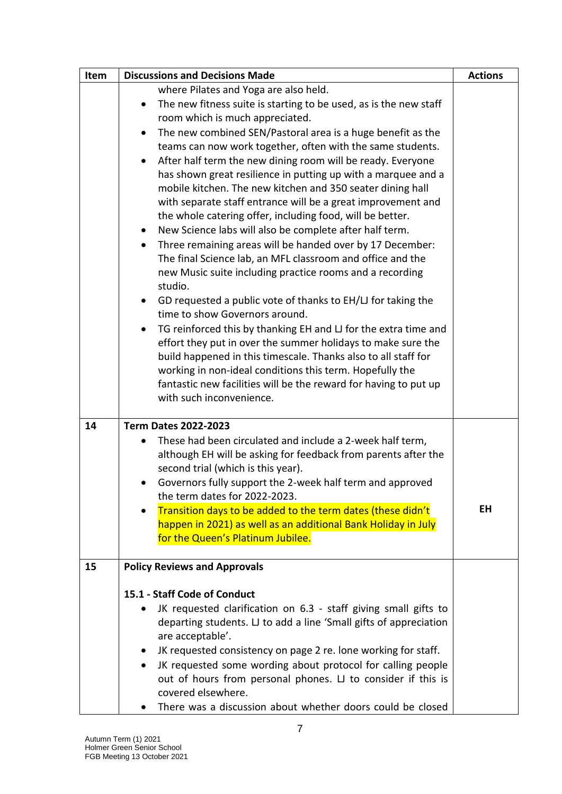| Item | <b>Discussions and Decisions Made</b>                                                                                        | <b>Actions</b> |
|------|------------------------------------------------------------------------------------------------------------------------------|----------------|
|      | where Pilates and Yoga are also held.                                                                                        |                |
|      | The new fitness suite is starting to be used, as is the new staff                                                            |                |
|      | room which is much appreciated.                                                                                              |                |
|      | The new combined SEN/Pastoral area is a huge benefit as the                                                                  |                |
|      | teams can now work together, often with the same students.                                                                   |                |
|      | After half term the new dining room will be ready. Everyone                                                                  |                |
|      | has shown great resilience in putting up with a marquee and a                                                                |                |
|      | mobile kitchen. The new kitchen and 350 seater dining hall                                                                   |                |
|      | with separate staff entrance will be a great improvement and                                                                 |                |
|      | the whole catering offer, including food, will be better.                                                                    |                |
|      | New Science labs will also be complete after half term.<br>٠                                                                 |                |
|      | Three remaining areas will be handed over by 17 December:<br>٠                                                               |                |
|      | The final Science lab, an MFL classroom and office and the<br>new Music suite including practice rooms and a recording       |                |
|      | studio.                                                                                                                      |                |
|      | GD requested a public vote of thanks to EH/LJ for taking the                                                                 |                |
|      | time to show Governors around.                                                                                               |                |
|      | TG reinforced this by thanking EH and LJ for the extra time and                                                              |                |
|      | effort they put in over the summer holidays to make sure the                                                                 |                |
|      | build happened in this timescale. Thanks also to all staff for                                                               |                |
|      | working in non-ideal conditions this term. Hopefully the                                                                     |                |
|      | fantastic new facilities will be the reward for having to put up                                                             |                |
|      | with such inconvenience.                                                                                                     |                |
|      |                                                                                                                              |                |
| 14   | <b>Term Dates 2022-2023</b>                                                                                                  |                |
|      | These had been circulated and include a 2-week half term,                                                                    |                |
|      | although EH will be asking for feedback from parents after the                                                               |                |
|      | second trial (which is this year).                                                                                           |                |
|      | Governors fully support the 2-week half term and approved<br>٠                                                               |                |
|      | the term dates for 2022-2023.                                                                                                | EH             |
|      | Transition days to be added to the term dates (these didn't<br>happen in 2021) as well as an additional Bank Holiday in July |                |
|      | for the Queen's Platinum Jubilee.                                                                                            |                |
|      |                                                                                                                              |                |
| 15   | <b>Policy Reviews and Approvals</b>                                                                                          |                |
|      | 15.1 - Staff Code of Conduct                                                                                                 |                |
|      | JK requested clarification on 6.3 - staff giving small gifts to                                                              |                |
|      | departing students. LJ to add a line 'Small gifts of appreciation                                                            |                |
|      | are acceptable'.                                                                                                             |                |
|      | JK requested consistency on page 2 re. lone working for staff.                                                               |                |
|      | JK requested some wording about protocol for calling people<br>$\bullet$                                                     |                |
|      | out of hours from personal phones. LJ to consider if this is                                                                 |                |
|      | covered elsewhere.                                                                                                           |                |
|      | There was a discussion about whether doors could be closed                                                                   |                |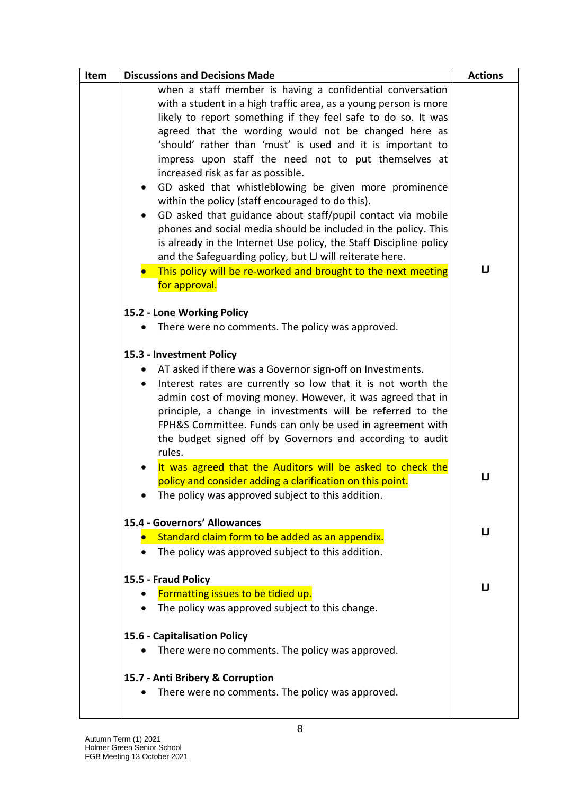| Item | <b>Discussions and Decisions Made</b>                                                                                                                                                                                                                                                                                                                                                                                                                                                                                                                                                                                                                                                                                                                                                                                                                                                  |                                 |
|------|----------------------------------------------------------------------------------------------------------------------------------------------------------------------------------------------------------------------------------------------------------------------------------------------------------------------------------------------------------------------------------------------------------------------------------------------------------------------------------------------------------------------------------------------------------------------------------------------------------------------------------------------------------------------------------------------------------------------------------------------------------------------------------------------------------------------------------------------------------------------------------------|---------------------------------|
|      | when a staff member is having a confidential conversation<br>with a student in a high traffic area, as a young person is more<br>likely to report something if they feel safe to do so. It was<br>agreed that the wording would not be changed here as<br>'should' rather than 'must' is used and it is important to<br>impress upon staff the need not to put themselves at<br>increased risk as far as possible.<br>GD asked that whistleblowing be given more prominence<br>within the policy (staff encouraged to do this).<br>GD asked that guidance about staff/pupil contact via mobile<br>phones and social media should be included in the policy. This<br>is already in the Internet Use policy, the Staff Discipline policy<br>and the Safeguarding policy, but LJ will reiterate here.<br>• This policy will be re-worked and brought to the next meeting<br>for approval. | <b>Actions</b><br>$\mathbf{U}%$ |
|      |                                                                                                                                                                                                                                                                                                                                                                                                                                                                                                                                                                                                                                                                                                                                                                                                                                                                                        |                                 |
|      | 15.2 - Lone Working Policy<br>There were no comments. The policy was approved.                                                                                                                                                                                                                                                                                                                                                                                                                                                                                                                                                                                                                                                                                                                                                                                                         |                                 |
|      |                                                                                                                                                                                                                                                                                                                                                                                                                                                                                                                                                                                                                                                                                                                                                                                                                                                                                        |                                 |
|      | 15.3 - Investment Policy                                                                                                                                                                                                                                                                                                                                                                                                                                                                                                                                                                                                                                                                                                                                                                                                                                                               |                                 |
|      | • AT asked if there was a Governor sign-off on Investments.                                                                                                                                                                                                                                                                                                                                                                                                                                                                                                                                                                                                                                                                                                                                                                                                                            |                                 |
|      | Interest rates are currently so low that it is not worth the<br>$\bullet$<br>admin cost of moving money. However, it was agreed that in<br>principle, a change in investments will be referred to the<br>FPH&S Committee. Funds can only be used in agreement with<br>the budget signed off by Governors and according to audit<br>rules.                                                                                                                                                                                                                                                                                                                                                                                                                                                                                                                                              |                                 |
|      | It was agreed that the Auditors will be asked to check the                                                                                                                                                                                                                                                                                                                                                                                                                                                                                                                                                                                                                                                                                                                                                                                                                             |                                 |
|      | policy and consider adding a clarification on this point.<br>The policy was approved subject to this addition.                                                                                                                                                                                                                                                                                                                                                                                                                                                                                                                                                                                                                                                                                                                                                                         | IJ                              |
|      | 15.4 - Governors' Allowances                                                                                                                                                                                                                                                                                                                                                                                                                                                                                                                                                                                                                                                                                                                                                                                                                                                           | $\mathsf{LJ}$                   |
|      | Standard claim form to be added as an appendix.                                                                                                                                                                                                                                                                                                                                                                                                                                                                                                                                                                                                                                                                                                                                                                                                                                        |                                 |
|      | The policy was approved subject to this addition.                                                                                                                                                                                                                                                                                                                                                                                                                                                                                                                                                                                                                                                                                                                                                                                                                                      |                                 |
|      | 15.5 - Fraud Policy                                                                                                                                                                                                                                                                                                                                                                                                                                                                                                                                                                                                                                                                                                                                                                                                                                                                    |                                 |
|      | Formatting issues to be tidied up.                                                                                                                                                                                                                                                                                                                                                                                                                                                                                                                                                                                                                                                                                                                                                                                                                                                     | $\Box$                          |
|      | The policy was approved subject to this change.                                                                                                                                                                                                                                                                                                                                                                                                                                                                                                                                                                                                                                                                                                                                                                                                                                        |                                 |
|      | 15.6 - Capitalisation Policy                                                                                                                                                                                                                                                                                                                                                                                                                                                                                                                                                                                                                                                                                                                                                                                                                                                           |                                 |
|      | There were no comments. The policy was approved.                                                                                                                                                                                                                                                                                                                                                                                                                                                                                                                                                                                                                                                                                                                                                                                                                                       |                                 |
|      |                                                                                                                                                                                                                                                                                                                                                                                                                                                                                                                                                                                                                                                                                                                                                                                                                                                                                        |                                 |
|      | 15.7 - Anti Bribery & Corruption                                                                                                                                                                                                                                                                                                                                                                                                                                                                                                                                                                                                                                                                                                                                                                                                                                                       |                                 |
|      | There were no comments. The policy was approved.                                                                                                                                                                                                                                                                                                                                                                                                                                                                                                                                                                                                                                                                                                                                                                                                                                       |                                 |